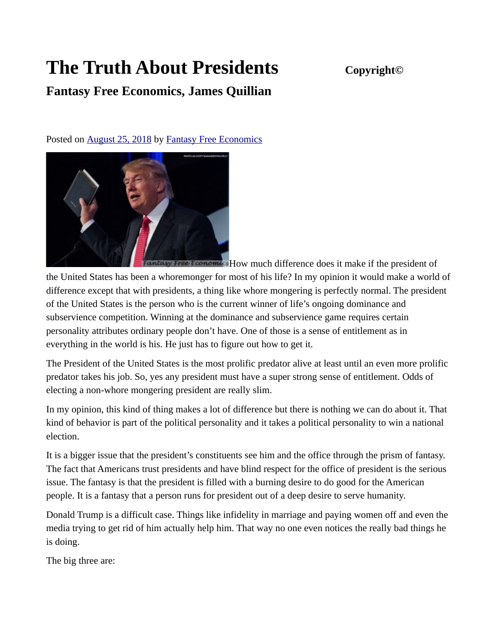## **The Truth About Presidents Copyright©**

## **Fantasy Free Economics, James Quillian**

Posted on **August 25, 2018** by [Fantasy Free Economics](http://quillian.net/blog/author/james-quillian/)



antasy Free Economics How much difference does it make if the president of the United States has been a whoremonger for most of his life? In my opinion it would make a world of difference except that with presidents, a thing like whore mongering is perfectly normal. The president of the United States is the person who is the current winner of life's ongoing dominance and subservience competition. Winning at the dominance and subservience game requires certain personality attributes ordinary people don't have. One of those is a sense of entitlement as in everything in the world is his. He just has to figure out how to get it.

The President of the United States is the most prolific predator alive at least until an even more prolific predator takes his job. So, yes any president must have a super strong sense of entitlement. Odds of electing a non-whore mongering president are really slim.

In my opinion, this kind of thing makes a lot of difference but there is nothing we can do about it. That kind of behavior is part of the political personality and it takes a political personality to win a national election.

It is a bigger issue that the president's constituents see him and the office through the prism of fantasy. The fact that Americans trust presidents and have blind respect for the office of president is the serious issue. The fantasy is that the president is filled with a burning desire to do good for the American people. It is a fantasy that a person runs for president out of a deep desire to serve humanity.

Donald Trump is a difficult case. Things like infidelity in marriage and paying women off and even the media trying to get rid of him actually help him. That way no one even notices the really bad things he is doing.

The big three are: